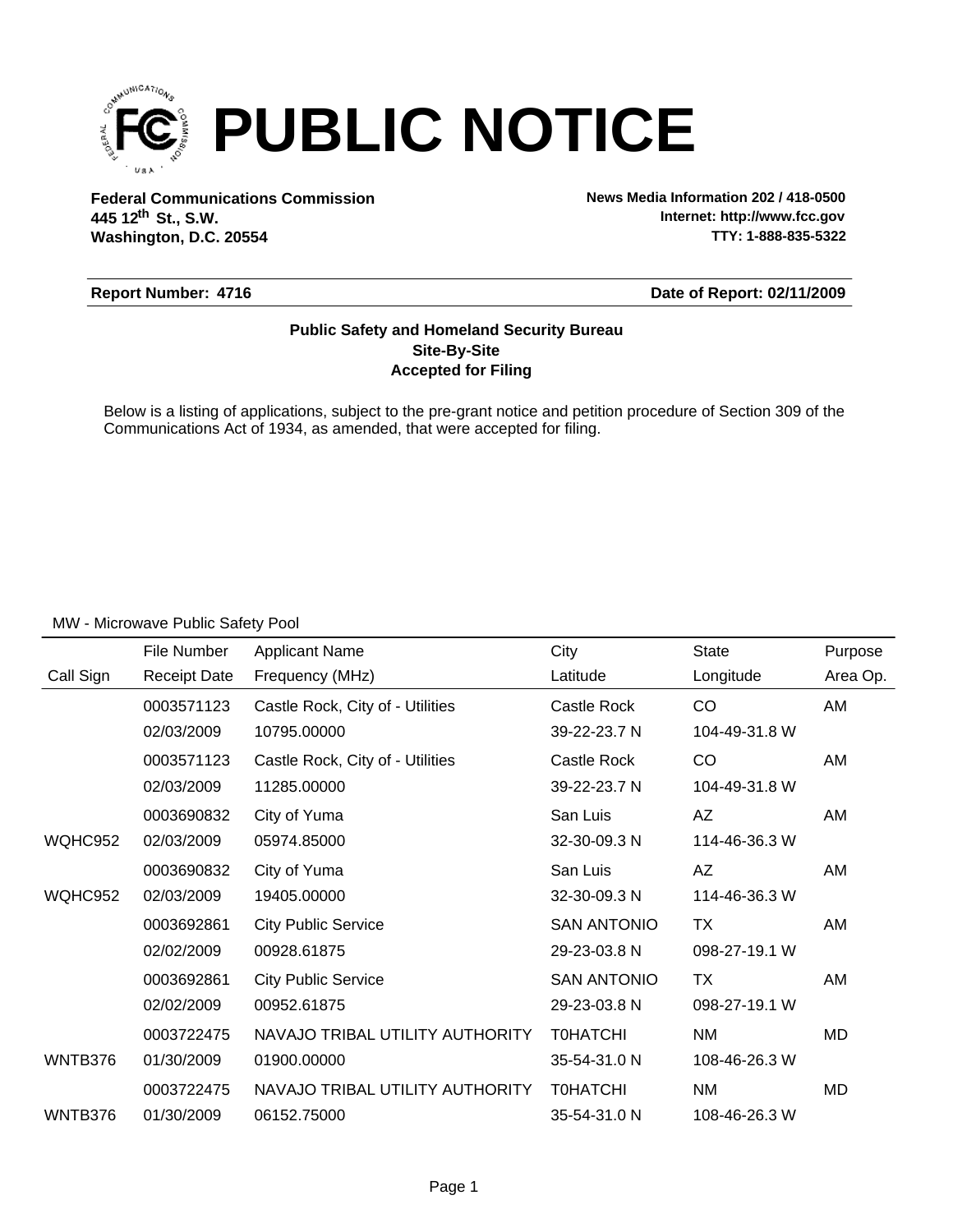

**Federal Communications Commission News Media Information 202 / 418-0500 Washington, D.C. 20554 th 445 12 St., S.W.**

**Internet: http://www.fcc.gov TTY: 1-888-835-5322**

#### **Report Number: 4716**

**Date of Report: 02/11/2009**

#### **Accepted for Filing Site-By-Site Public Safety and Homeland Security Bureau**

Below is a listing of applications, subject to the pre-grant notice and petition procedure of Section 309 of the Communications Act of 1934, as amended, that were accepted for filing.

|           | File Number         | <b>Applicant Name</b>            | City               | <b>State</b>  | Purpose   |
|-----------|---------------------|----------------------------------|--------------------|---------------|-----------|
| Call Sign | <b>Receipt Date</b> | Frequency (MHz)                  | Latitude           | Longitude     | Area Op.  |
|           | 0003571123          | Castle Rock, City of - Utilities | Castle Rock        | <b>CO</b>     | AM        |
|           | 02/03/2009          | 10795.00000                      | 39-22-23.7 N       | 104-49-31.8 W |           |
|           | 0003571123          | Castle Rock, City of - Utilities | Castle Rock        | CO            | AM        |
|           | 02/03/2009          | 11285.00000                      | 39-22-23.7 N       | 104-49-31.8 W |           |
|           | 0003690832          | City of Yuma                     | San Luis           | AZ            | AM        |
| WQHC952   | 02/03/2009          | 05974.85000                      | 32-30-09.3 N       | 114-46-36.3 W |           |
|           | 0003690832          | City of Yuma                     | San Luis           | AZ            | AM        |
| WQHC952   | 02/03/2009          | 19405.00000                      | 32-30-09.3 N       | 114-46-36.3 W |           |
|           | 0003692861          | <b>City Public Service</b>       | <b>SAN ANTONIO</b> | ТX            | AM        |
|           | 02/02/2009          | 00928.61875                      | 29-23-03.8 N       | 098-27-19.1 W |           |
|           | 0003692861          | <b>City Public Service</b>       | <b>SAN ANTONIO</b> | <b>TX</b>     | AM        |
|           | 02/02/2009          | 00952.61875                      | 29-23-03.8 N       | 098-27-19.1 W |           |
|           | 0003722475          | NAVAJO TRIBAL UTILITY AUTHORITY  | <b>TOHATCHI</b>    | NM            | MD        |
| WNTB376   | 01/30/2009          | 01900.00000                      | 35-54-31.0 N       | 108-46-26.3 W |           |
|           | 0003722475          | NAVAJO TRIBAL UTILITY AUTHORITY  | <b>TOHATCHI</b>    | NM            | <b>MD</b> |
| WNTB376   | 01/30/2009          | 06152.75000                      | 35-54-31.0 N       | 108-46-26.3 W |           |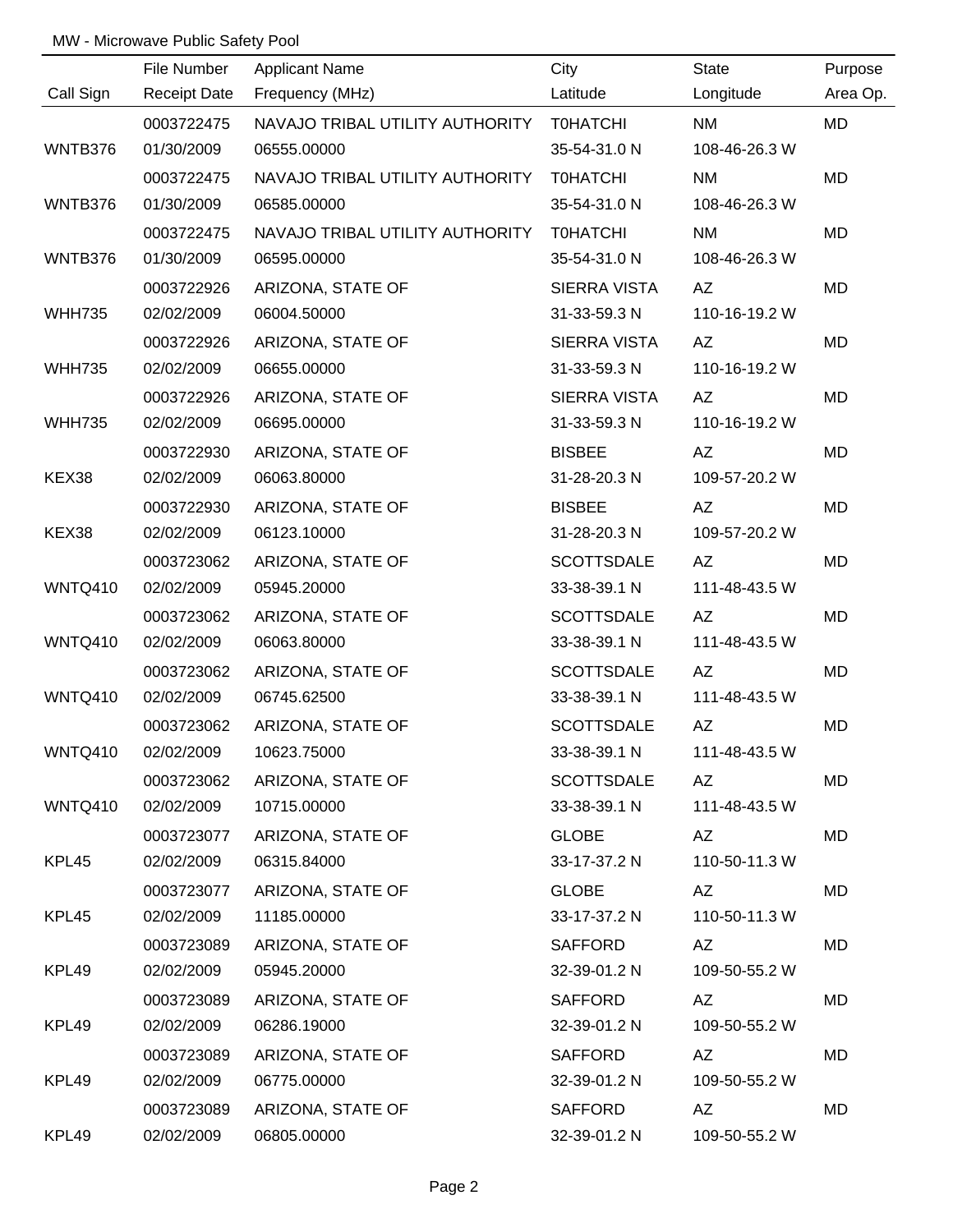|                | File Number              | <b>Applicant Name</b>                          | City                            | State                      | Purpose   |
|----------------|--------------------------|------------------------------------------------|---------------------------------|----------------------------|-----------|
| Call Sign      | <b>Receipt Date</b>      | Frequency (MHz)                                | Latitude                        | Longitude                  | Area Op.  |
|                | 0003722475               | NAVAJO TRIBAL UTILITY AUTHORITY T0HATCHI       |                                 | <b>NM</b>                  | <b>MD</b> |
| WNTB376        | 01/30/2009               | 06555.00000                                    | 35-54-31.0 N                    | 108-46-26.3 W              |           |
|                |                          |                                                |                                 |                            |           |
| WNTB376        | 0003722475<br>01/30/2009 | NAVAJO TRIBAL UTILITY AUTHORITY<br>06585.00000 | <b>TOHATCHI</b><br>35-54-31.0 N | <b>NM</b><br>108-46-26.3 W | MD        |
|                |                          |                                                |                                 |                            |           |
|                | 0003722475               | NAVAJO TRIBAL UTILITY AUTHORITY                | <b>TOHATCHI</b>                 | <b>NM</b>                  | <b>MD</b> |
| WNTB376        | 01/30/2009               | 06595.00000                                    | 35-54-31.0 N                    | 108-46-26.3 W              |           |
|                | 0003722926               | ARIZONA, STATE OF                              | SIERRA VISTA                    | AZ                         | MD        |
| <b>WHH735</b>  | 02/02/2009               | 06004.50000                                    | 31-33-59.3 N                    | 110-16-19.2 W              |           |
|                | 0003722926               | ARIZONA, STATE OF                              | SIERRA VISTA                    | AZ                         | MD        |
| <b>WHH735</b>  | 02/02/2009               | 06655.00000                                    | 31-33-59.3 N                    | 110-16-19.2 W              |           |
|                | 0003722926               | ARIZONA, STATE OF                              | SIERRA VISTA                    | AZ                         | MD        |
| <b>WHH735</b>  | 02/02/2009               | 06695.00000                                    | 31-33-59.3 N                    | 110-16-19.2 W              |           |
|                | 0003722930               | ARIZONA, STATE OF                              | <b>BISBEE</b>                   | AZ                         | MD        |
| KEX38          | 02/02/2009               | 06063.80000                                    | 31-28-20.3 N                    | 109-57-20.2 W              |           |
|                | 0003722930               | ARIZONA, STATE OF                              | <b>BISBEE</b>                   | AZ                         | MD        |
| KEX38          | 02/02/2009               | 06123.10000                                    | 31-28-20.3 N                    | 109-57-20.2 W              |           |
|                | 0003723062               | ARIZONA, STATE OF                              | <b>SCOTTSDALE</b>               | AZ                         | MD        |
| WNTQ410        | 02/02/2009               | 05945.20000                                    | 33-38-39.1 N                    | 111-48-43.5 W              |           |
|                | 0003723062               | ARIZONA, STATE OF                              | <b>SCOTTSDALE</b>               | AZ                         | MD        |
| <b>WNTQ410</b> | 02/02/2009               | 06063.80000                                    | 33-38-39.1 N                    | 111-48-43.5 W              |           |
|                | 0003723062               | ARIZONA, STATE OF                              | <b>SCOTTSDALE</b>               | AZ                         | MD        |
| <b>WNTQ410</b> | 02/02/2009               | 06745.62500                                    | 33-38-39.1 N                    | 111-48-43.5 W              |           |
|                | 0003723062               | ARIZONA, STATE OF                              | <b>SCOTTSDALE</b>               | AZ                         | MD        |
| WNTQ410        | 02/02/2009               | 10623.75000                                    | 33-38-39.1 N                    | 111-48-43.5 W              |           |
|                | 0003723062               | ARIZONA, STATE OF                              | SCOTTSDALE                      | AZ                         | MD        |
| WNTQ410        | 02/02/2009               | 10715.00000                                    | 33-38-39.1 N                    | 111-48-43.5 W              |           |
|                | 0003723077               | ARIZONA, STATE OF                              | <b>GLOBE</b>                    | AZ                         | MD        |
| KPL45          | 02/02/2009               | 06315.84000                                    | 33-17-37.2 N                    | 110-50-11.3 W              |           |
|                | 0003723077               | ARIZONA, STATE OF                              | <b>GLOBE</b>                    | AZ                         | MD        |
| KPL45          | 02/02/2009               | 11185.00000                                    | 33-17-37.2 N                    | 110-50-11.3 W              |           |
|                | 0003723089               | ARIZONA, STATE OF                              | SAFFORD                         | AZ                         | MD        |
| KPL49          | 02/02/2009               | 05945.20000                                    | 32-39-01.2 N                    | 109-50-55.2 W              |           |
|                | 0003723089               | ARIZONA, STATE OF                              | SAFFORD                         | AZ                         | MD        |
| KPL49          | 02/02/2009               | 06286.19000                                    | 32-39-01.2 N                    | 109-50-55.2 W              |           |
|                | 0003723089               | ARIZONA, STATE OF                              | <b>SAFFORD</b>                  | AZ                         | MD        |
| KPL49          | 02/02/2009               | 06775.00000                                    | 32-39-01.2 N                    | 109-50-55.2 W              |           |
|                | 0003723089               | ARIZONA, STATE OF                              | SAFFORD                         | AZ                         | MD        |
| KPL49          | 02/02/2009               | 06805.00000                                    | 32-39-01.2 N                    | 109-50-55.2 W              |           |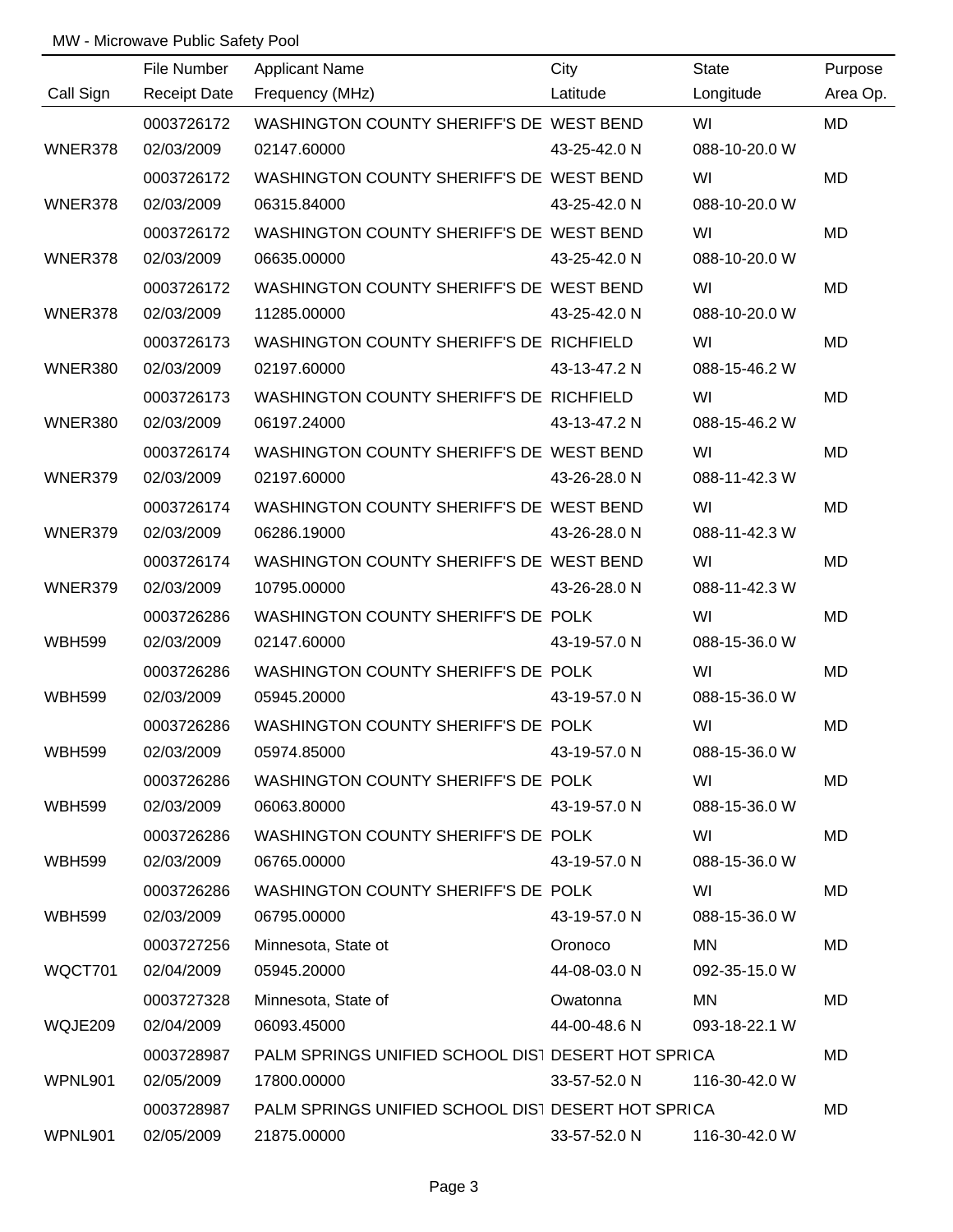|                | File Number         | <b>Applicant Name</b>                              | City         | State         | Purpose   |
|----------------|---------------------|----------------------------------------------------|--------------|---------------|-----------|
| Call Sign      | <b>Receipt Date</b> | Frequency (MHz)                                    | Latitude     | Longitude     | Area Op.  |
|                | 0003726172          | WASHINGTON COUNTY SHERIFF'S DE WEST BEND           |              | WI            | <b>MD</b> |
| WNER378        | 02/03/2009          | 02147.60000                                        | 43-25-42.0 N | 088-10-20.0 W |           |
|                | 0003726172          | WASHINGTON COUNTY SHERIFF'S DE WEST BEND           |              | WI            | MD        |
| WNER378        | 02/03/2009          | 06315.84000                                        | 43-25-42.0 N | 088-10-20.0 W |           |
|                | 0003726172          | WASHINGTON COUNTY SHERIFF'S DE WEST BEND           |              | WI            | MD        |
| WNER378        | 02/03/2009          | 06635.00000                                        | 43-25-42.0 N | 088-10-20.0 W |           |
|                | 0003726172          | WASHINGTON COUNTY SHERIFF'S DE WEST BEND           |              | WI            | MD        |
| WNER378        | 02/03/2009          | 11285.00000                                        | 43-25-42.0 N | 088-10-20.0 W |           |
|                | 0003726173          | WASHINGTON COUNTY SHERIFF'S DE RICHFIELD           |              | WI            | <b>MD</b> |
| WNER380        | 02/03/2009          | 02197.60000                                        | 43-13-47.2 N | 088-15-46.2 W |           |
|                | 0003726173          | WASHINGTON COUNTY SHERIFF'S DE RICHFIELD           |              | WI            | <b>MD</b> |
| <b>WNER380</b> | 02/03/2009          | 06197.24000                                        | 43-13-47.2 N | 088-15-46.2 W |           |
|                | 0003726174          | WASHINGTON COUNTY SHERIFF'S DE WEST BEND           |              | WI            | <b>MD</b> |
| WNER379        | 02/03/2009          | 02197.60000                                        | 43-26-28.0 N | 088-11-42.3 W |           |
|                | 0003726174          | WASHINGTON COUNTY SHERIFF'S DE WEST BEND           |              | WI            | <b>MD</b> |
| WNER379        | 02/03/2009          | 06286.19000                                        | 43-26-28.0 N | 088-11-42.3 W |           |
|                | 0003726174          | WASHINGTON COUNTY SHERIFF'S DE WEST BEND           |              | WI            | <b>MD</b> |
| WNER379        | 02/03/2009          | 10795.00000                                        | 43-26-28.0 N | 088-11-42.3 W |           |
|                | 0003726286          | WASHINGTON COUNTY SHERIFF'S DE POLK                |              | WI            | MD        |
| <b>WBH599</b>  | 02/03/2009          | 02147.60000                                        | 43-19-57.0 N | 088-15-36.0 W |           |
|                | 0003726286          | WASHINGTON COUNTY SHERIFF'S DE POLK                |              | WI            | MD        |
| <b>WBH599</b>  | 02/03/2009          | 05945.20000                                        | 43-19-57.0 N | 088-15-36.0 W |           |
|                | 0003726286          | WASHINGTON COUNTY SHERIFF'S DE POLK                |              | WI            | <b>MD</b> |
| <b>WBH599</b>  | 02/03/2009          | 05974.85000                                        | 43-19-57.0 N | 088-15-36.0 W |           |
|                | 0003726286          | WASHINGTON COUNTY SHERIFF'S DE POLK                |              | WI            | MD        |
| <b>WBH599</b>  | 02/03/2009          | 06063.80000                                        | 43-19-57.0 N | 088-15-36.0 W |           |
|                | 0003726286          | WASHINGTON COUNTY SHERIFF'S DE POLK                |              | WI            | MD        |
| <b>WBH599</b>  | 02/03/2009          | 06765.00000                                        | 43-19-57.0 N | 088-15-36.0 W |           |
|                | 0003726286          | WASHINGTON COUNTY SHERIFF'S DE POLK                |              | WI            | MD        |
| <b>WBH599</b>  | 02/03/2009          | 06795.00000                                        | 43-19-57.0 N | 088-15-36.0 W |           |
|                | 0003727256          | Minnesota, State ot                                | Oronoco      | MN            | MD        |
| WQCT701        | 02/04/2009          | 05945.20000                                        | 44-08-03.0 N | 092-35-15.0 W |           |
|                | 0003727328          | Minnesota, State of                                | Owatonna     | MN            | MD        |
| WQJE209        | 02/04/2009          | 06093.45000                                        | 44-00-48.6 N | 093-18-22.1 W |           |
|                | 0003728987          | PALM SPRINGS UNIFIED SCHOOL DIST DESERT HOT SPRICA |              |               | MD        |
| WPNL901        | 02/05/2009          | 17800.00000                                        | 33-57-52.0 N | 116-30-42.0 W |           |
|                | 0003728987          | PALM SPRINGS UNIFIED SCHOOL DIST DESERT HOT SPRICA |              |               | MD        |
| WPNL901        | 02/05/2009          | 21875.00000                                        | 33-57-52.0 N | 116-30-42.0 W |           |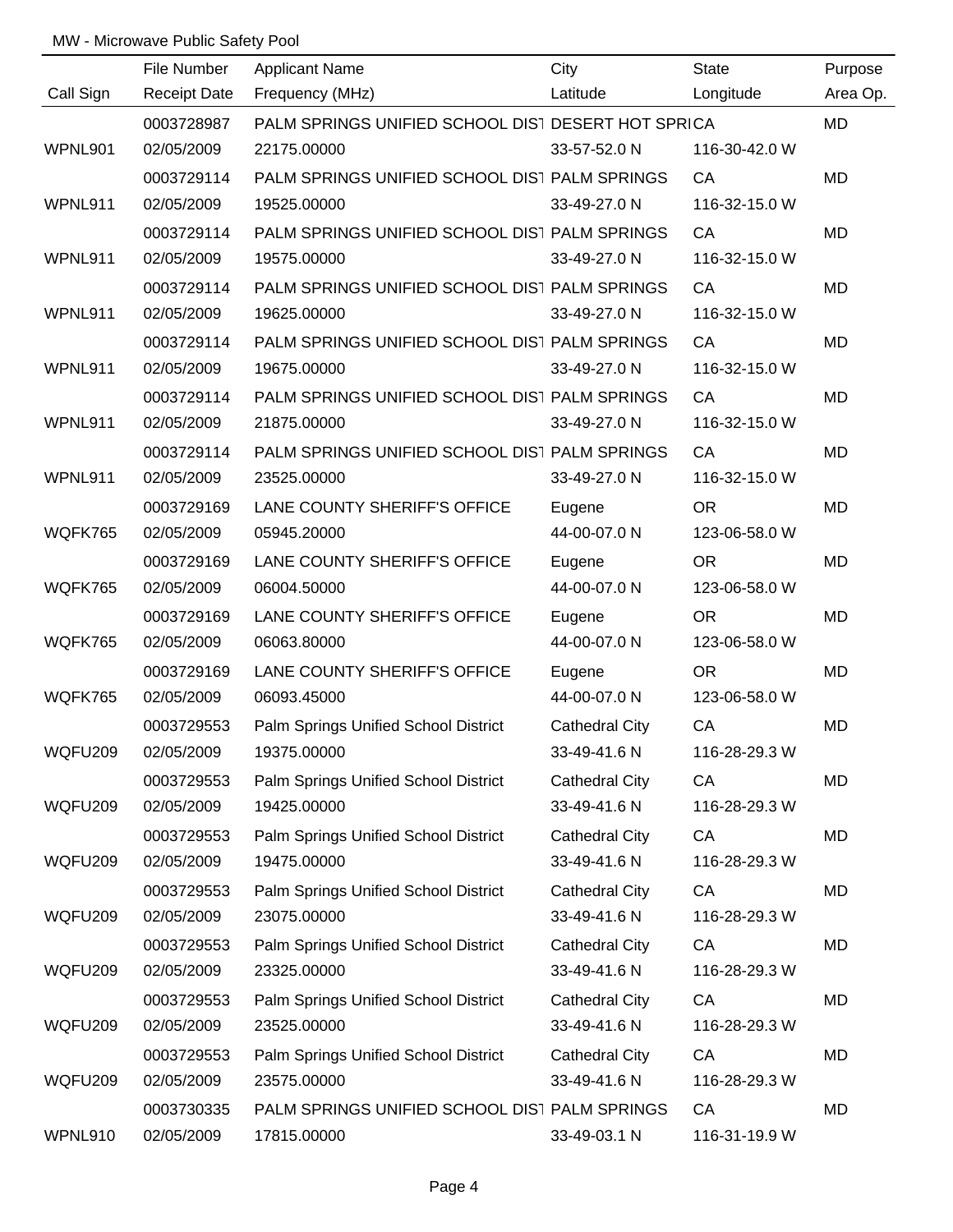|           | File Number         | <b>Applicant Name</b>                              | City                  | <b>State</b>  | Purpose   |
|-----------|---------------------|----------------------------------------------------|-----------------------|---------------|-----------|
| Call Sign | <b>Receipt Date</b> | Frequency (MHz)                                    | Latitude              | Longitude     | Area Op.  |
|           | 0003728987          | PALM SPRINGS UNIFIED SCHOOL DIST DESERT HOT SPRICA |                       |               | MD        |
| WPNL901   | 02/05/2009          | 22175.00000                                        | 33-57-52.0 N          | 116-30-42.0 W |           |
|           | 0003729114          | PALM SPRINGS UNIFIED SCHOOL DIST PALM SPRINGS      |                       | CA            | <b>MD</b> |
| WPNL911   | 02/05/2009          | 19525.00000                                        | 33-49-27.0 N          | 116-32-15.0 W |           |
|           | 0003729114          | PALM SPRINGS UNIFIED SCHOOL DIST PALM SPRINGS      |                       | CA            | MD        |
| WPNL911   | 02/05/2009          | 19575.00000                                        | 33-49-27.0 N          | 116-32-15.0 W |           |
|           | 0003729114          | PALM SPRINGS UNIFIED SCHOOL DIST PALM SPRINGS      |                       | CA            | <b>MD</b> |
| WPNL911   | 02/05/2009          | 19625.00000                                        | 33-49-27.0 N          | 116-32-15.0 W |           |
|           | 0003729114          | PALM SPRINGS UNIFIED SCHOOL DIST PALM SPRINGS      |                       | CA            | MD        |
| WPNL911   | 02/05/2009          | 19675.00000                                        | 33-49-27.0 N          | 116-32-15.0 W |           |
|           | 0003729114          | PALM SPRINGS UNIFIED SCHOOL DIST PALM SPRINGS      |                       | CA            | <b>MD</b> |
| WPNL911   | 02/05/2009          | 21875.00000                                        | 33-49-27.0 N          | 116-32-15.0 W |           |
|           | 0003729114          | PALM SPRINGS UNIFIED SCHOOL DIST PALM SPRINGS      |                       | CA            | MD        |
| WPNL911   | 02/05/2009          | 23525.00000                                        | 33-49-27.0 N          | 116-32-15.0 W |           |
|           | 0003729169          | LANE COUNTY SHERIFF'S OFFICE                       | Eugene                | <b>OR</b>     | MD        |
| WQFK765   | 02/05/2009          | 05945.20000                                        | 44-00-07.0 N          | 123-06-58.0 W |           |
|           | 0003729169          | LANE COUNTY SHERIFF'S OFFICE                       | Eugene                | <b>OR</b>     | MD        |
| WQFK765   | 02/05/2009          | 06004.50000                                        | 44-00-07.0 N          | 123-06-58.0 W |           |
|           | 0003729169          | LANE COUNTY SHERIFF'S OFFICE                       | Eugene                | <b>OR</b>     | <b>MD</b> |
| WQFK765   | 02/05/2009          | 06063.80000                                        | 44-00-07.0 N          | 123-06-58.0 W |           |
|           | 0003729169          | LANE COUNTY SHERIFF'S OFFICE                       | Eugene                | <b>OR</b>     | MD        |
| WQFK765   | 02/05/2009          | 06093.45000                                        | 44-00-07.0 N          | 123-06-58.0 W |           |
|           | 0003729553          | Palm Springs Unified School District               | <b>Cathedral City</b> | CA            | MD        |
| WQFU209   | 02/05/2009          | 19375.00000                                        | 33-49-41.6 N          | 116-28-29.3 W |           |
|           | 0003729553          | Palm Springs Unified School District               | <b>Cathedral City</b> | CA            | MD        |
| WQFU209   | 02/05/2009          | 19425.00000                                        | 33-49-41.6 N          | 116-28-29.3 W |           |
|           | 0003729553          | Palm Springs Unified School District               | <b>Cathedral City</b> | CA            | MD        |
| WQFU209   | 02/05/2009          | 19475.00000                                        | 33-49-41.6 N          | 116-28-29.3 W |           |
|           | 0003729553          | Palm Springs Unified School District               | <b>Cathedral City</b> | CA            | MD        |
| WQFU209   | 02/05/2009          | 23075.00000                                        | 33-49-41.6 N          | 116-28-29.3 W |           |
|           | 0003729553          | Palm Springs Unified School District               | <b>Cathedral City</b> | CA            | MD        |
| WQFU209   | 02/05/2009          | 23325.00000                                        | 33-49-41.6 N          | 116-28-29.3 W |           |
|           | 0003729553          | Palm Springs Unified School District               | Cathedral City        | CA            | MD        |
| WQFU209   | 02/05/2009          | 23525.00000                                        | 33-49-41.6 N          | 116-28-29.3 W |           |
|           | 0003729553          | Palm Springs Unified School District               | Cathedral City        | CA            | MD        |
| WQFU209   | 02/05/2009          | 23575.00000                                        | 33-49-41.6 N          | 116-28-29.3 W |           |
|           | 0003730335          | PALM SPRINGS UNIFIED SCHOOL DIST PALM SPRINGS      |                       | CA            | MD        |
| WPNL910   | 02/05/2009          | 17815.00000                                        | 33-49-03.1 N          | 116-31-19.9 W |           |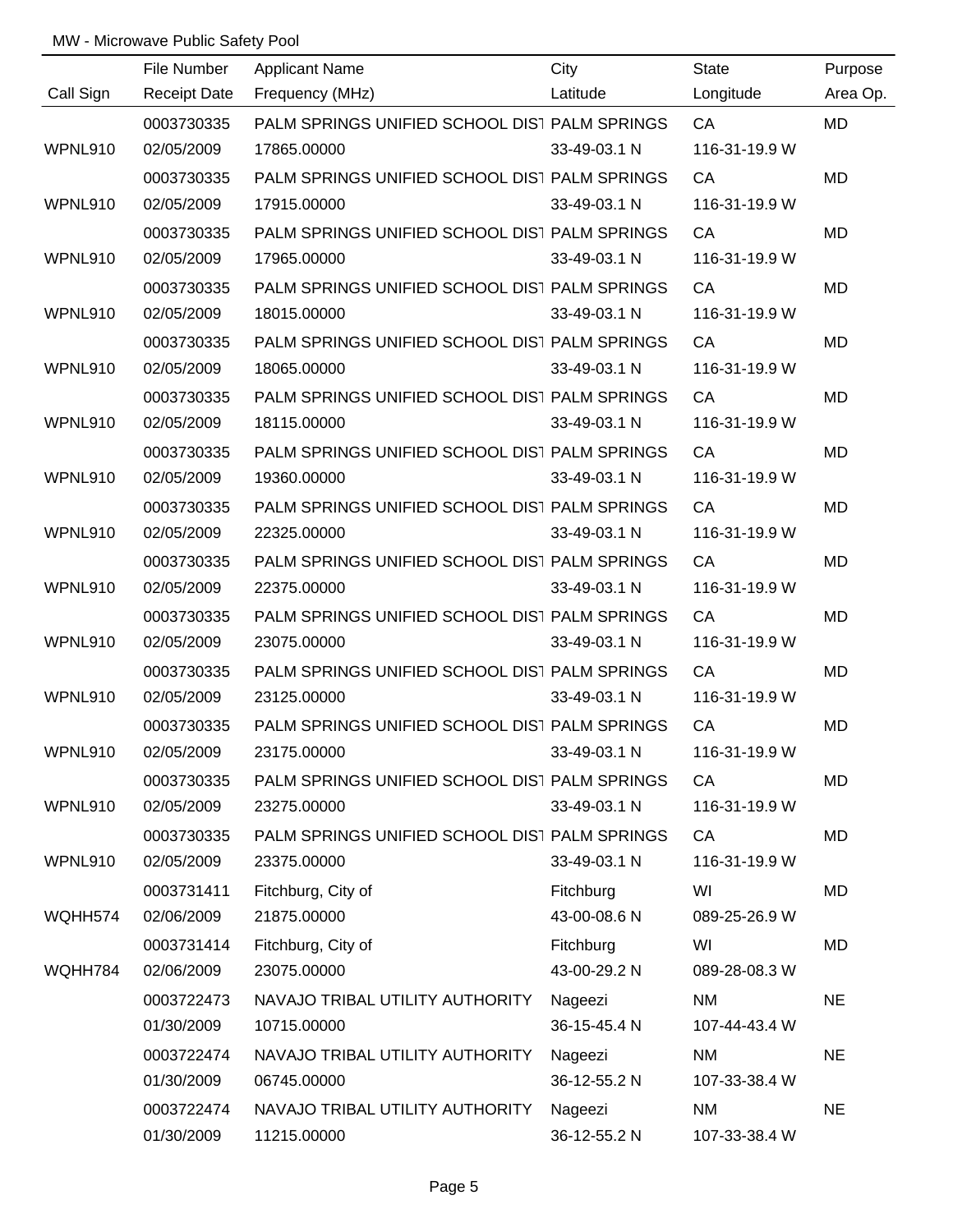|           | File Number         | <b>Applicant Name</b>                         | City         | <b>State</b>  | Purpose   |
|-----------|---------------------|-----------------------------------------------|--------------|---------------|-----------|
| Call Sign | <b>Receipt Date</b> | Frequency (MHz)                               | Latitude     | Longitude     | Area Op.  |
|           | 0003730335          | PALM SPRINGS UNIFIED SCHOOL DIST PALM SPRINGS |              | CA            | <b>MD</b> |
| WPNL910   | 02/05/2009          | 17865.00000                                   | 33-49-03.1 N | 116-31-19.9 W |           |
|           | 0003730335          | PALM SPRINGS UNIFIED SCHOOL DIST PALM SPRINGS |              | CA            | <b>MD</b> |
| WPNL910   | 02/05/2009          | 17915.00000                                   | 33-49-03.1 N | 116-31-19.9 W |           |
|           | 0003730335          | PALM SPRINGS UNIFIED SCHOOL DIST PALM SPRINGS |              | CA            | <b>MD</b> |
| WPNL910   | 02/05/2009          | 17965.00000                                   | 33-49-03.1 N | 116-31-19.9 W |           |
|           | 0003730335          | PALM SPRINGS UNIFIED SCHOOL DIST PALM SPRINGS |              | CA            | <b>MD</b> |
| WPNL910   | 02/05/2009          | 18015.00000                                   | 33-49-03.1 N | 116-31-19.9 W |           |
|           | 0003730335          | PALM SPRINGS UNIFIED SCHOOL DIST PALM SPRINGS |              | CA            | MD        |
| WPNL910   | 02/05/2009          | 18065.00000                                   | 33-49-03.1 N | 116-31-19.9 W |           |
|           | 0003730335          | PALM SPRINGS UNIFIED SCHOOL DIST PALM SPRINGS |              | CA            | <b>MD</b> |
| WPNL910   | 02/05/2009          | 18115.00000                                   | 33-49-03.1 N | 116-31-19.9 W |           |
|           | 0003730335          | PALM SPRINGS UNIFIED SCHOOL DIST PALM SPRINGS |              | CA            | MD        |
| WPNL910   | 02/05/2009          | 19360.00000                                   | 33-49-03.1 N | 116-31-19.9 W |           |
|           | 0003730335          | PALM SPRINGS UNIFIED SCHOOL DIST PALM SPRINGS |              | CA            | MD        |
| WPNL910   | 02/05/2009          | 22325.00000                                   | 33-49-03.1 N | 116-31-19.9 W |           |
|           | 0003730335          | PALM SPRINGS UNIFIED SCHOOL DIST PALM SPRINGS |              | CA            | MD        |
| WPNL910   | 02/05/2009          | 22375.00000                                   | 33-49-03.1 N | 116-31-19.9 W |           |
|           | 0003730335          | PALM SPRINGS UNIFIED SCHOOL DIST PALM SPRINGS |              | CA            | <b>MD</b> |
| WPNL910   | 02/05/2009          | 23075.00000                                   | 33-49-03.1 N | 116-31-19.9 W |           |
|           | 0003730335          | PALM SPRINGS UNIFIED SCHOOL DIST PALM SPRINGS |              | CA            | MD        |
| WPNL910   | 02/05/2009          | 23125.00000                                   | 33-49-03.1 N | 116-31-19.9 W |           |
|           | 0003730335          | PALM SPRINGS UNIFIED SCHOOL DIST PALM SPRINGS |              | CA            | MD        |
| WPNL910   | 02/05/2009          | 23175.00000                                   | 33-49-03.1 N | 116-31-19.9 W |           |
|           | 0003730335          | PALM SPRINGS UNIFIED SCHOOL DIST PALM SPRINGS |              | CA            | MD        |
| WPNL910   | 02/05/2009          | 23275.00000                                   | 33-49-03.1 N | 116-31-19.9 W |           |
|           | 0003730335          | PALM SPRINGS UNIFIED SCHOOL DIST PALM SPRINGS |              | CA            | MD        |
| WPNL910   | 02/05/2009          | 23375.00000                                   | 33-49-03.1 N | 116-31-19.9 W |           |
|           | 0003731411          | Fitchburg, City of                            | Fitchburg    | WI            | MD        |
| WQHH574   | 02/06/2009          | 21875.00000                                   | 43-00-08.6 N | 089-25-26.9 W |           |
|           | 0003731414          | Fitchburg, City of                            | Fitchburg    | WI            | MD        |
| WQHH784   | 02/06/2009          | 23075.00000                                   | 43-00-29.2 N | 089-28-08.3 W |           |
|           | 0003722473          | NAVAJO TRIBAL UTILITY AUTHORITY               | Nageezi      | <b>NM</b>     | <b>NE</b> |
|           | 01/30/2009          | 10715.00000                                   | 36-15-45.4 N | 107-44-43.4 W |           |
|           | 0003722474          | NAVAJO TRIBAL UTILITY AUTHORITY               | Nageezi      | <b>NM</b>     | <b>NE</b> |
|           | 01/30/2009          | 06745.00000                                   | 36-12-55.2 N | 107-33-38.4 W |           |
|           | 0003722474          | NAVAJO TRIBAL UTILITY AUTHORITY               | Nageezi      | <b>NM</b>     | <b>NE</b> |
|           | 01/30/2009          | 11215.00000                                   | 36-12-55.2 N | 107-33-38.4 W |           |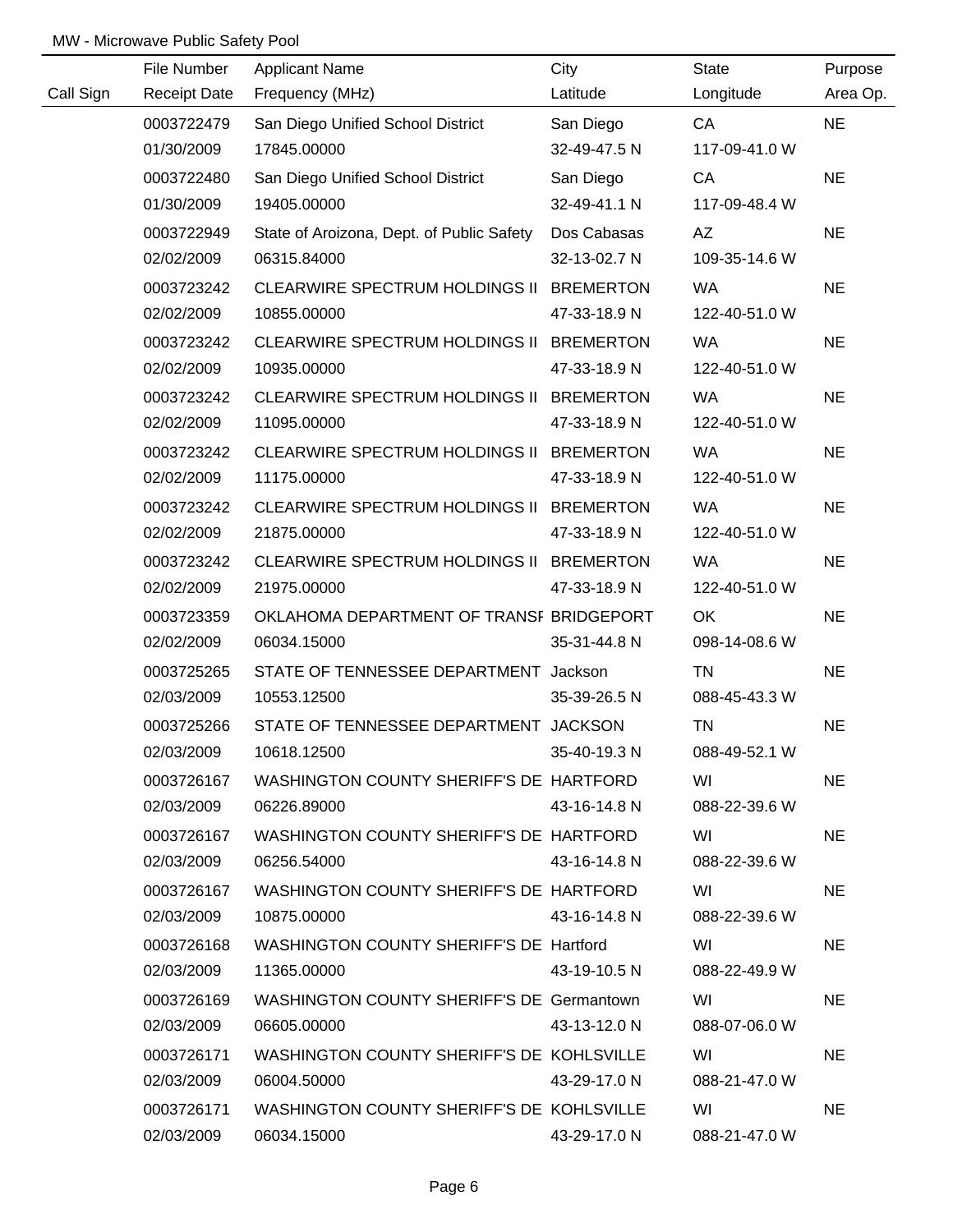|           | File Number         | <b>Applicant Name</b>                                 | City         | State         | Purpose   |
|-----------|---------------------|-------------------------------------------------------|--------------|---------------|-----------|
| Call Sign | <b>Receipt Date</b> | Frequency (MHz)                                       | Latitude     | Longitude     | Area Op.  |
|           | 0003722479          | San Diego Unified School District                     | San Diego    | CA            | <b>NE</b> |
|           | 01/30/2009          | 17845.00000                                           | 32-49-47.5 N | 117-09-41.0 W |           |
|           | 0003722480          | San Diego Unified School District                     | San Diego    | CA            | <b>NE</b> |
|           | 01/30/2009          | 19405.00000                                           | 32-49-41.1 N | 117-09-48.4 W |           |
|           | 0003722949          | State of Aroizona, Dept. of Public Safety Dos Cabasas |              | AZ            | <b>NE</b> |
|           | 02/02/2009          | 06315.84000                                           | 32-13-02.7 N | 109-35-14.6 W |           |
|           | 0003723242          | CLEARWIRE SPECTRUM HOLDINGS II BREMERTON              |              | <b>WA</b>     | <b>NE</b> |
|           | 02/02/2009          | 10855.00000                                           | 47-33-18.9 N | 122-40-51.0 W |           |
|           | 0003723242          | CLEARWIRE SPECTRUM HOLDINGS II BREMERTON              |              | <b>WA</b>     | <b>NE</b> |
|           | 02/02/2009          | 10935.00000                                           | 47-33-18.9 N | 122-40-51.0 W |           |
|           | 0003723242          | CLEARWIRE SPECTRUM HOLDINGS II BREMERTON              |              | <b>WA</b>     | <b>NE</b> |
|           | 02/02/2009          | 11095.00000                                           | 47-33-18.9 N | 122-40-51.0 W |           |
|           | 0003723242          | CLEARWIRE SPECTRUM HOLDINGS II BREMERTON              |              | <b>WA</b>     | <b>NE</b> |
|           | 02/02/2009          | 11175.00000                                           | 47-33-18.9 N | 122-40-51.0 W |           |
|           | 0003723242          | CLEARWIRE SPECTRUM HOLDINGS II BREMERTON              |              | <b>WA</b>     | <b>NE</b> |
|           | 02/02/2009          | 21875.00000                                           | 47-33-18.9 N | 122-40-51.0 W |           |
|           | 0003723242          | CLEARWIRE SPECTRUM HOLDINGS II BREMERTON              |              | <b>WA</b>     | <b>NE</b> |
|           | 02/02/2009          | 21975.00000                                           | 47-33-18.9 N | 122-40-51.0 W |           |
|           | 0003723359          | OKLAHOMA DEPARTMENT OF TRANSF BRIDGEPORT              |              | OK            | <b>NE</b> |
|           | 02/02/2009          | 06034.15000                                           | 35-31-44.8 N | 098-14-08.6 W |           |
|           | 0003725265          | STATE OF TENNESSEE DEPARTMENT Jackson                 |              | <b>TN</b>     | <b>NE</b> |
|           | 02/03/2009          | 10553.12500                                           | 35-39-26.5 N | 088-45-43.3 W |           |
|           | 0003725266          | STATE OF TENNESSEE DEPARTMENT JACKSON                 |              | <b>TN</b>     | <b>NE</b> |
|           | 02/03/2009          | 10618.12500                                           | 35-40-19.3 N | 088-49-52.1 W |           |
|           | 0003726167          | WASHINGTON COUNTY SHERIFF'S DE HARTFORD               |              | WI            | <b>NE</b> |
|           | 02/03/2009          | 06226.89000                                           | 43-16-14.8 N | 088-22-39.6 W |           |
|           | 0003726167          | WASHINGTON COUNTY SHERIFF'S DE HARTFORD               |              | WI            | <b>NE</b> |
|           | 02/03/2009          | 06256.54000                                           | 43-16-14.8 N | 088-22-39.6 W |           |
|           | 0003726167          | WASHINGTON COUNTY SHERIFF'S DE HARTFORD               |              | WI            | <b>NE</b> |
|           | 02/03/2009          | 10875.00000                                           | 43-16-14.8 N | 088-22-39.6 W |           |
|           | 0003726168          | WASHINGTON COUNTY SHERIFF'S DE Hartford               |              | WI            | <b>NE</b> |
|           | 02/03/2009          | 11365.00000                                           | 43-19-10.5 N | 088-22-49.9 W |           |
|           | 0003726169          | WASHINGTON COUNTY SHERIFF'S DE Germantown             |              | WI            | <b>NE</b> |
|           | 02/03/2009          | 06605.00000                                           | 43-13-12.0 N | 088-07-06.0 W |           |
|           | 0003726171          | WASHINGTON COUNTY SHERIFF'S DE KOHLSVILLE             |              | WI            | <b>NE</b> |
|           | 02/03/2009          | 06004.50000                                           | 43-29-17.0 N | 088-21-47.0 W |           |
|           | 0003726171          | WASHINGTON COUNTY SHERIFF'S DE KOHLSVILLE             |              | WI            | <b>NE</b> |
|           | 02/03/2009          | 06034.15000                                           | 43-29-17.0 N | 088-21-47.0 W |           |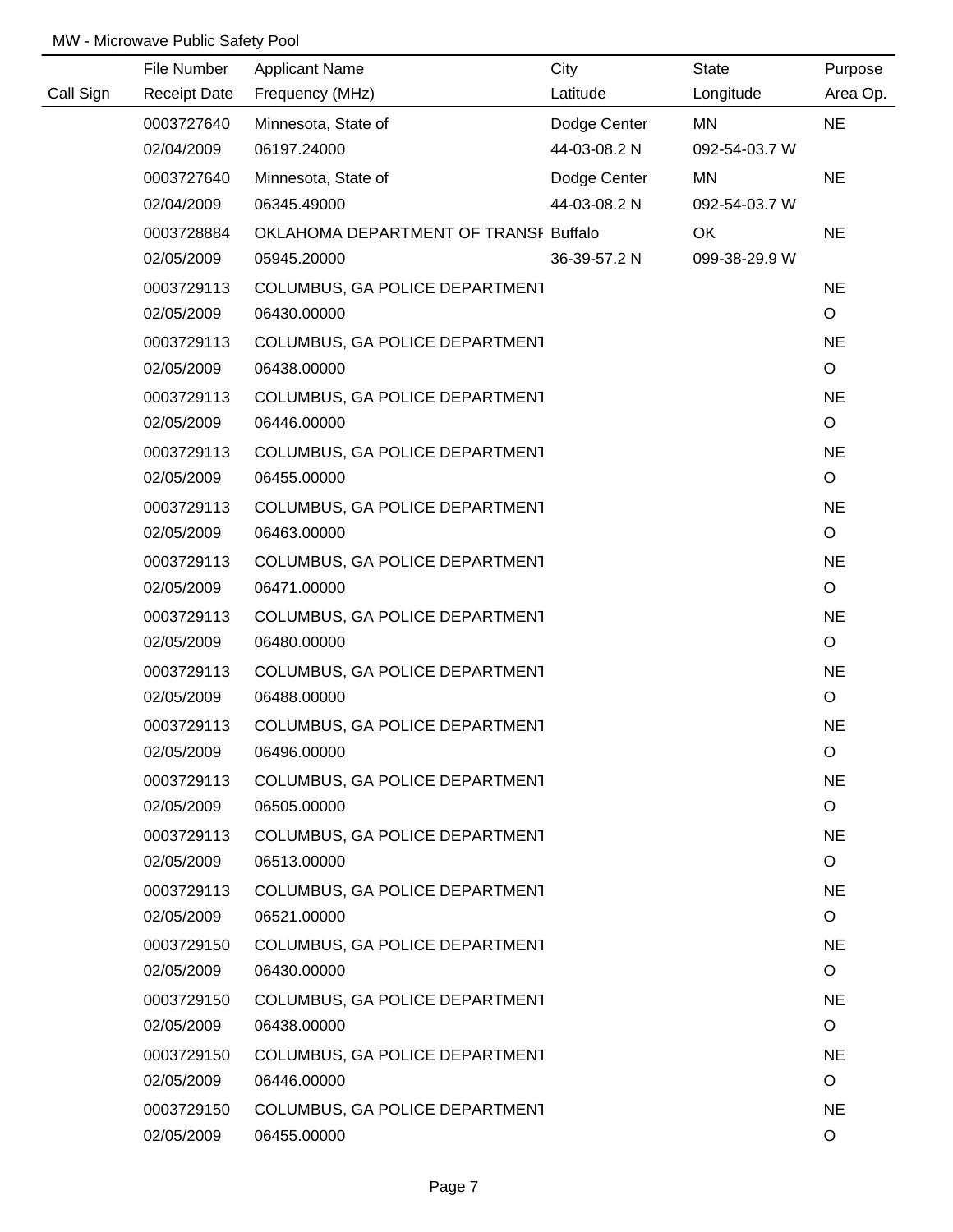| City<br>File Number<br><b>Applicant Name</b>                              | State         | Purpose              |
|---------------------------------------------------------------------------|---------------|----------------------|
| Call Sign<br><b>Receipt Date</b><br>Frequency (MHz)<br>Latitude           | Longitude     | Area Op.             |
| Minnesota, State of<br>Dodge Center<br>0003727640                         | MN            | <b>NE</b>            |
| 44-03-08.2 N<br>02/04/2009<br>06197.24000                                 | 092-54-03.7 W |                      |
| Dodge Center<br>0003727640<br>Minnesota, State of                         | MN            | <b>NE</b>            |
| 02/04/2009<br>06345.49000<br>44-03-08.2 N                                 | 092-54-03.7 W |                      |
| 0003728884<br>OKLAHOMA DEPARTMENT OF TRANSF Buffalo                       | OK            | <b>NE</b>            |
| 02/05/2009<br>05945.20000<br>36-39-57.2 N                                 | 099-38-29.9 W |                      |
| 0003729113<br>COLUMBUS, GA POLICE DEPARTMENT                              |               | <b>NE</b>            |
| 06430.00000<br>02/05/2009                                                 |               | $\circ$              |
| 0003729113<br>COLUMBUS, GA POLICE DEPARTMENT                              |               | <b>NE</b>            |
| 02/05/2009<br>06438.00000                                                 |               | $\circ$              |
| COLUMBUS, GA POLICE DEPARTMENT<br>0003729113                              |               | <b>NE</b>            |
| 06446.00000<br>02/05/2009                                                 |               | $\circ$              |
| COLUMBUS, GA POLICE DEPARTMENT<br>0003729113                              |               | <b>NE</b>            |
| 02/05/2009<br>06455.00000                                                 |               | $\circ$              |
| 0003729113<br>COLUMBUS, GA POLICE DEPARTMENT                              |               | <b>NE</b>            |
| 02/05/2009<br>06463.00000                                                 |               | $\circ$              |
| COLUMBUS, GA POLICE DEPARTMENT<br>0003729113                              |               | <b>NE</b>            |
| 02/05/2009<br>06471.00000                                                 |               | $\mathsf O$          |
| 0003729113<br>COLUMBUS, GA POLICE DEPARTMENT                              |               | <b>NE</b>            |
| 02/05/2009<br>06480.00000                                                 |               | $\circ$              |
| 0003729113<br>COLUMBUS, GA POLICE DEPARTMENT                              |               | <b>NE</b>            |
| 02/05/2009<br>06488.00000                                                 |               | O                    |
| 0003729113<br>COLUMBUS, GA POLICE DEPARTMENT                              |               | <b>NE</b>            |
| 02/05/2009<br>06496.00000                                                 |               | O                    |
| 0003729113<br>COLUMBUS, GA POLICE DEPARTMENT                              |               | <b>NE</b>            |
| 02/05/2009<br>06505.00000                                                 |               | $\circ$              |
| 0003729113<br>COLUMBUS, GA POLICE DEPARTMENT                              |               | <b>NE</b>            |
| 06513.00000<br>02/05/2009                                                 |               | $\circ$              |
| 0003729113<br>COLUMBUS, GA POLICE DEPARTMENT                              |               | <b>NE</b>            |
| 02/05/2009<br>06521.00000                                                 |               | $\circ$              |
| 0003729150<br>COLUMBUS, GA POLICE DEPARTMENT                              |               | <b>NE</b>            |
| 02/05/2009<br>06430.00000                                                 |               | $\circ$              |
| 0003729150<br>COLUMBUS, GA POLICE DEPARTMENT<br>02/05/2009<br>06438.00000 |               | <b>NE</b><br>$\circ$ |
|                                                                           |               |                      |
| 0003729150<br>COLUMBUS, GA POLICE DEPARTMENT<br>02/05/2009<br>06446.00000 |               | <b>NE</b><br>O       |
| 0003729150                                                                |               | <b>NE</b>            |
| COLUMBUS, GA POLICE DEPARTMENT<br>06455.00000<br>02/05/2009               |               | O                    |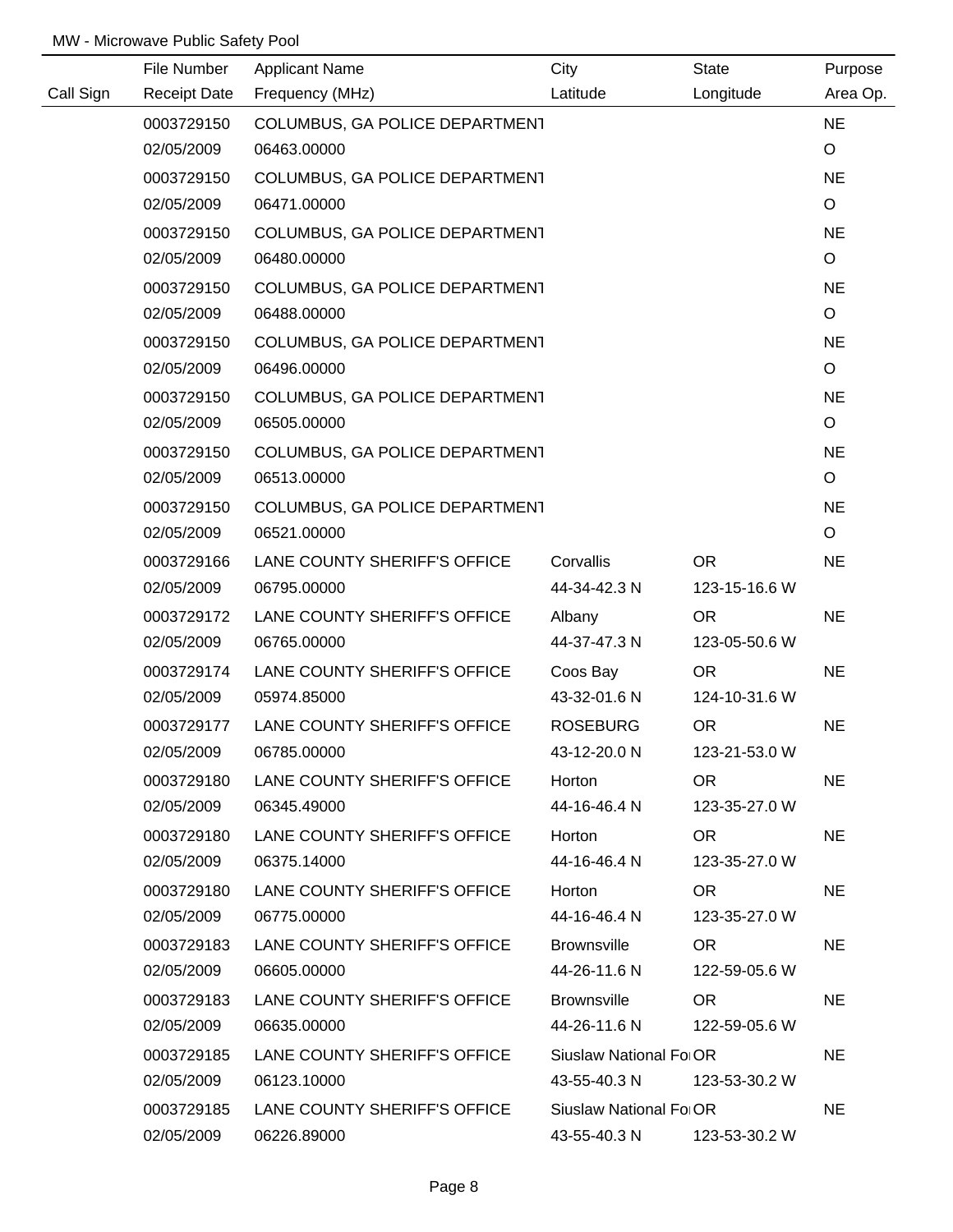|           | File Number         | <b>Applicant Name</b>          | City                   | <b>State</b>  | Purpose     |
|-----------|---------------------|--------------------------------|------------------------|---------------|-------------|
| Call Sign | <b>Receipt Date</b> | Frequency (MHz)                | Latitude               | Longitude     | Area Op.    |
|           | 0003729150          | COLUMBUS, GA POLICE DEPARTMENT |                        |               | <b>NE</b>   |
|           | 02/05/2009          | 06463.00000                    |                        |               | $\circ$     |
|           | 0003729150          | COLUMBUS, GA POLICE DEPARTMENT |                        |               | <b>NE</b>   |
|           | 02/05/2009          | 06471.00000                    |                        |               | $\circ$     |
|           | 0003729150          | COLUMBUS, GA POLICE DEPARTMENT |                        |               | <b>NE</b>   |
|           | 02/05/2009          | 06480.00000                    |                        |               | $\circ$     |
|           | 0003729150          | COLUMBUS, GA POLICE DEPARTMENT |                        |               | <b>NE</b>   |
|           | 02/05/2009          | 06488.00000                    |                        |               | $\circ$     |
|           | 0003729150          | COLUMBUS, GA POLICE DEPARTMENT |                        |               | <b>NE</b>   |
|           | 02/05/2009          | 06496.00000                    |                        |               | $\circ$     |
|           | 0003729150          | COLUMBUS, GA POLICE DEPARTMENT |                        |               | <b>NE</b>   |
|           | 02/05/2009          | 06505.00000                    |                        |               | $\circ$     |
|           | 0003729150          | COLUMBUS, GA POLICE DEPARTMENT |                        |               | <b>NE</b>   |
|           | 02/05/2009          | 06513.00000                    |                        |               | $\circ$     |
|           | 0003729150          | COLUMBUS, GA POLICE DEPARTMENT |                        |               | <b>NE</b>   |
|           | 02/05/2009          | 06521.00000                    |                        |               | $\mathsf O$ |
|           | 0003729166          | LANE COUNTY SHERIFF'S OFFICE   | Corvallis              | OR.           | <b>NE</b>   |
|           | 02/05/2009          | 06795.00000                    | 44-34-42.3 N           | 123-15-16.6 W |             |
|           | 0003729172          | LANE COUNTY SHERIFF'S OFFICE   | Albany                 | <b>OR</b>     | <b>NE</b>   |
|           | 02/05/2009          | 06765.00000                    | 44-37-47.3 N           | 123-05-50.6 W |             |
|           | 0003729174          | LANE COUNTY SHERIFF'S OFFICE   | Coos Bay               | <b>OR</b>     | <b>NE</b>   |
|           | 02/05/2009          | 05974.85000                    | 43-32-01.6 N           | 124-10-31.6 W |             |
|           | 0003729177          | LANE COUNTY SHERIFF'S OFFICE   | <b>ROSEBURG</b>        | <b>OR</b>     | <b>NE</b>   |
|           | 02/05/2009          | 06785.00000                    | 43-12-20.0 N           | 123-21-53.0 W |             |
|           | 0003729180          | LANE COUNTY SHERIFF'S OFFICE   | Horton                 | OR.           | <b>NE</b>   |
|           | 02/05/2009          | 06345.49000                    | 44-16-46.4 N           | 123-35-27.0 W |             |
|           | 0003729180          | LANE COUNTY SHERIFF'S OFFICE   | Horton                 | OR .          | <b>NE</b>   |
|           | 02/05/2009          | 06375.14000                    | 44-16-46.4 N           | 123-35-27.0 W |             |
|           | 0003729180          | LANE COUNTY SHERIFF'S OFFICE   | Horton                 | OR .          | <b>NE</b>   |
|           | 02/05/2009          | 06775.00000                    | 44-16-46.4 N           | 123-35-27.0 W |             |
|           | 0003729183          | LANE COUNTY SHERIFF'S OFFICE   | <b>Brownsville</b>     | OR .          | <b>NE</b>   |
|           | 02/05/2009          | 06605.00000                    | 44-26-11.6 N           | 122-59-05.6 W |             |
|           | 0003729183          | LANE COUNTY SHERIFF'S OFFICE   | <b>Brownsville</b>     | OR.           | <b>NE</b>   |
|           | 02/05/2009          | 06635.00000                    | 44-26-11.6 N           | 122-59-05.6 W |             |
|           | 0003729185          | LANE COUNTY SHERIFF'S OFFICE   | Siuslaw National Fo OR |               | <b>NE</b>   |
|           | 02/05/2009          | 06123.10000                    | 43-55-40.3 N           | 123-53-30.2 W |             |
|           | 0003729185          | LANE COUNTY SHERIFF'S OFFICE   | Siuslaw National Fo OR |               | <b>NE</b>   |
|           | 02/05/2009          | 06226.89000                    | 43-55-40.3 N           | 123-53-30.2 W |             |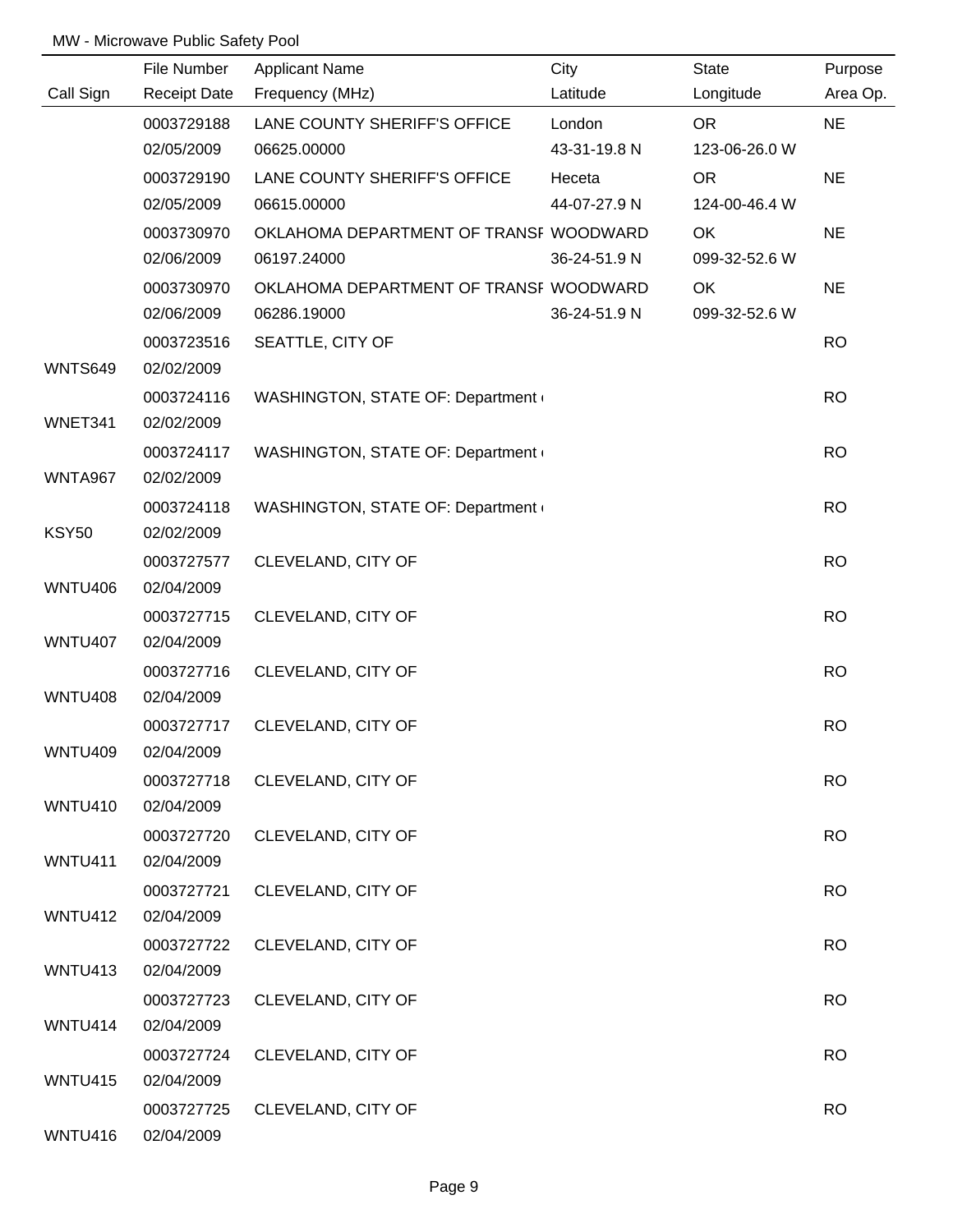|                | File Number              | <b>Applicant Name</b>                  | City         | <b>State</b>  | Purpose   |
|----------------|--------------------------|----------------------------------------|--------------|---------------|-----------|
| Call Sign      | <b>Receipt Date</b>      | Frequency (MHz)                        | Latitude     | Longitude     | Area Op.  |
|                | 0003729188               | LANE COUNTY SHERIFF'S OFFICE           | London       | <b>OR</b>     | <b>NE</b> |
|                | 02/05/2009               | 06625.00000                            | 43-31-19.8 N | 123-06-26.0 W |           |
|                | 0003729190               | LANE COUNTY SHERIFF'S OFFICE           | Heceta       | OR            | <b>NE</b> |
|                | 02/05/2009               | 06615.00000                            | 44-07-27.9 N | 124-00-46.4 W |           |
|                | 0003730970               | OKLAHOMA DEPARTMENT OF TRANSF WOODWARD |              | OK            | <b>NE</b> |
|                | 02/06/2009               | 06197.24000                            | 36-24-51.9 N | 099-32-52.6 W |           |
|                | 0003730970               | OKLAHOMA DEPARTMENT OF TRANSF WOODWARD |              | OK            | <b>NE</b> |
|                | 02/06/2009               | 06286.19000                            | 36-24-51.9 N | 099-32-52.6 W |           |
|                | 0003723516               | SEATTLE, CITY OF                       |              |               | <b>RO</b> |
| <b>WNTS649</b> | 02/02/2009               |                                        |              |               |           |
|                | 0003724116               | WASHINGTON, STATE OF: Department       |              |               | <b>RO</b> |
| WNET341        | 02/02/2009               |                                        |              |               |           |
|                | 0003724117               | WASHINGTON, STATE OF: Department       |              |               | <b>RO</b> |
| WNTA967        | 02/02/2009               |                                        |              |               |           |
|                | 0003724118               | WASHINGTON, STATE OF: Department       |              |               | <b>RO</b> |
| <b>KSY50</b>   | 02/02/2009               |                                        |              |               |           |
|                | 0003727577               | CLEVELAND, CITY OF                     |              |               | <b>RO</b> |
| <b>WNTU406</b> | 02/04/2009               |                                        |              |               |           |
|                | 0003727715               | CLEVELAND, CITY OF                     |              |               | <b>RO</b> |
| <b>WNTU407</b> | 02/04/2009               |                                        |              |               |           |
|                | 0003727716               | CLEVELAND, CITY OF                     |              |               | <b>RO</b> |
| <b>WNTU408</b> | 02/04/2009               |                                        |              |               |           |
|                | 0003727717               | CLEVELAND, CITY OF                     |              |               | <b>RO</b> |
| <b>WNTU409</b> | 02/04/2009               |                                        |              |               |           |
|                | 0003727718               | CLEVELAND, CITY OF                     |              |               | <b>RO</b> |
| WNTU410        | 02/04/2009               |                                        |              |               |           |
|                | 0003727720               | CLEVELAND, CITY OF                     |              |               | <b>RO</b> |
| WNTU411        | 02/04/2009               |                                        |              |               |           |
|                | 0003727721               | CLEVELAND, CITY OF                     |              |               | <b>RO</b> |
| <b>WNTU412</b> | 02/04/2009               |                                        |              |               |           |
|                | 0003727722               | CLEVELAND, CITY OF                     |              |               | <b>RO</b> |
| WNTU413        | 02/04/2009               |                                        |              |               |           |
|                | 0003727723               | CLEVELAND, CITY OF                     |              |               | <b>RO</b> |
| WNTU414        | 02/04/2009               |                                        |              |               |           |
|                | 0003727724               |                                        |              |               | <b>RO</b> |
| <b>WNTU415</b> | 02/04/2009               | CLEVELAND, CITY OF                     |              |               |           |
|                |                          |                                        |              |               | <b>RO</b> |
| WNTU416        | 0003727725<br>02/04/2009 | CLEVELAND, CITY OF                     |              |               |           |
|                |                          |                                        |              |               |           |